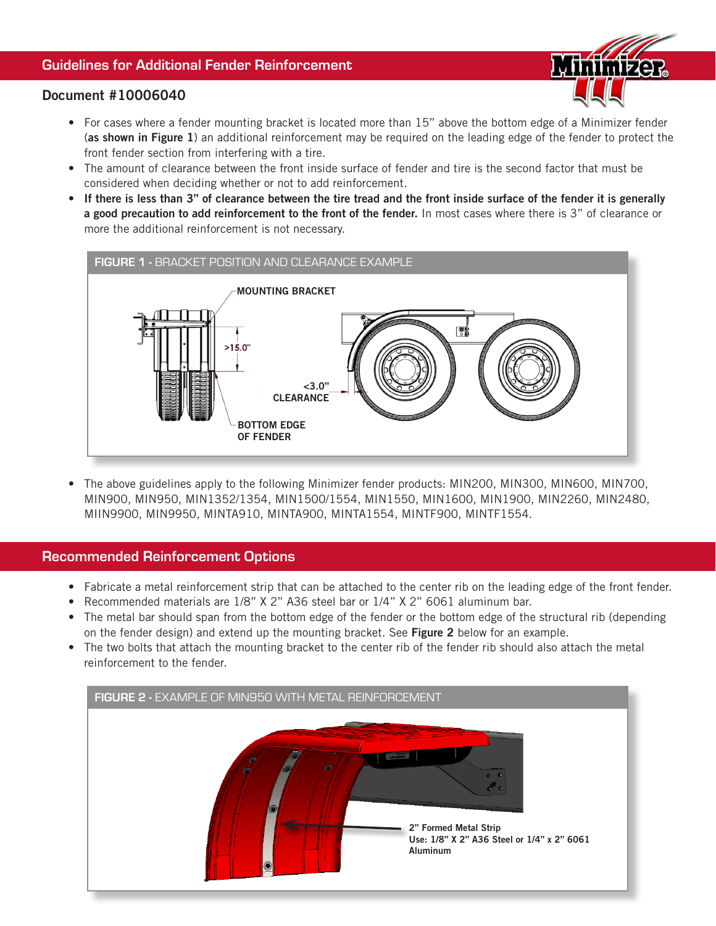## Guidelines for Additional Fender Reinforcement



### Document #10006040

- For cases where a fender mounting bracket is located more than 15" above the bottom edge of a Minimizer fender (as shown in Figure 1) an additional reinforcement may be required on the leading edge of the fender to protect the front fender section from interfering with a tire.
- The amount of clearance between the front inside surface of fender and tire is the second factor that must be considered when deciding whether or not to add reinforcement.
- If there is less than 3" of clearance between the tire tread and the front inside surface of the fender it is generally a good precaution to add reinforcement to the front of the fender. In most cases where there is 3" of clearance or more the additional reinforcement is not necessary.



• The above guidelines apply to the following Minimizer fender products: MIN200, MIN300, MIN600, MIN700, MIN900, MIN950, MIN1352/1354, MIN1500/1554, MIN1550, MIN1600, MIN1900, MIN2260, MIN2480, MIIN9900, MIN9950, MINTA910, MINTA900, MINTA1554, MINTF900, MINTF1554.

### Recommended Reinforcement Options

- Fabricate a metal reinforcement strip that can be attached to the center rib on the leading edge of the front fender.
- Recommended materials are 1/8" X 2" A36 steel bar or 1/4" X 2" 6061 aluminum bar.
- The metal bar should span from the bottom edge of the fender or the bottom edge of the structural rib (depending on the fender design) and extend up the mounting bracket. See Figure 2 below for an example.
- The two bolts that attach the mounting bracket to the center rib of the fender rib should also attach the metal reinforcement to the fender.